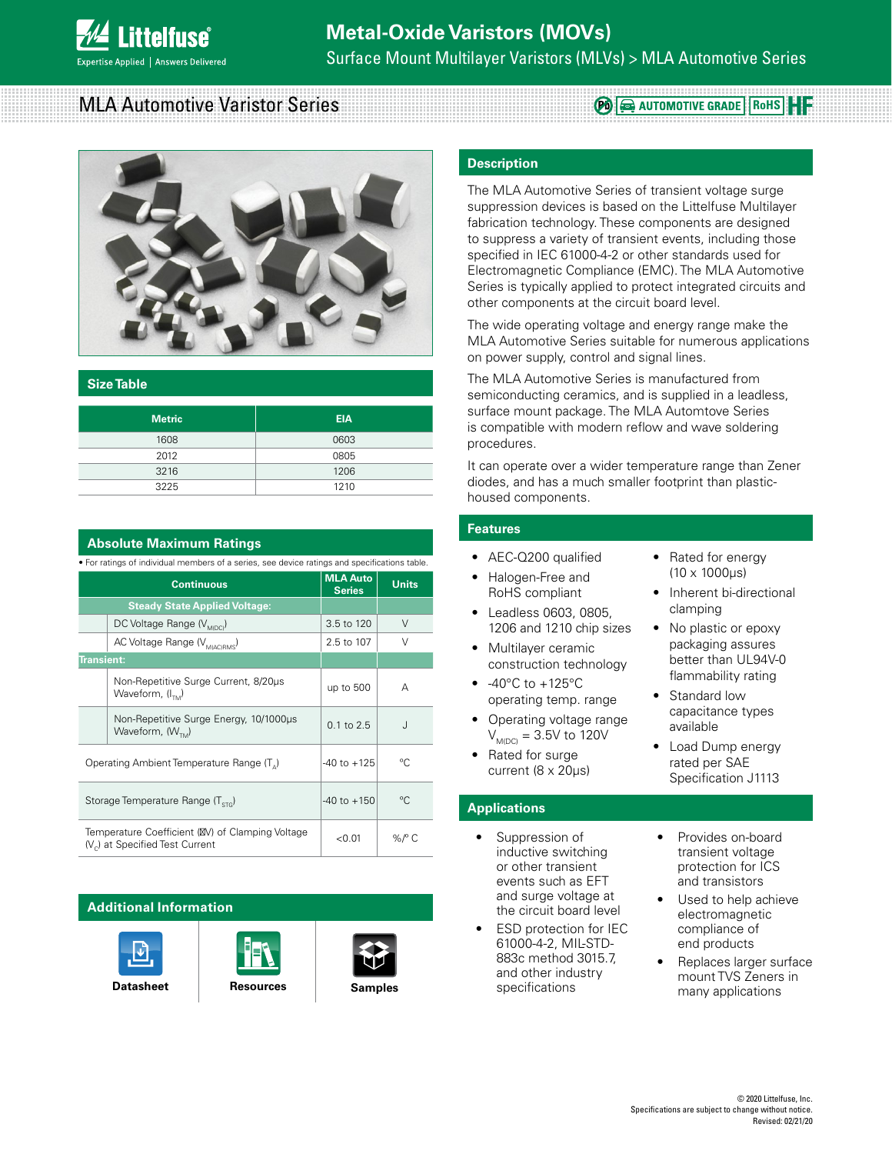

#### MLA Automotive Varistor Series **PO a** AUTOMOTIVE GRADE **RoHS**



#### **Size Table**

| <b>Metric</b> | <b>EIA</b> |
|---------------|------------|
| 1608          | 0603       |
| 2012          | 0805       |
| 3216          | 1206       |
| 3225          | 1210       |

#### **Absolute Maximum Ratings**

• For ratings of individual members of a series, see device ratings and specifications table.

|                   | <b>Continuous</b>                                                                              | <b>MLA Auto</b><br><b>Series</b> | <b>Units</b>    |
|-------------------|------------------------------------------------------------------------------------------------|----------------------------------|-----------------|
|                   | <b>Steady State Applied Voltage:</b>                                                           |                                  |                 |
|                   | DC Voltage Range (V <sub>MDC</sub> )                                                           | $3.5 \text{ to } 120$            | $\vee$          |
|                   | AC Voltage Range (V <sub>M(AC)RMS</sub> )                                                      | 2.5 to 107                       | $\vee$          |
| <b>Transient:</b> |                                                                                                |                                  |                 |
|                   | Non-Repetitive Surge Current, 8/20µs<br>Waveform, (I <sub>TM</sub> )                           | up to 500                        | А               |
|                   | Non-Repetitive Surge Energy, 10/1000µs<br>Waveform, $(W_{\tau_M})$                             | 0.1 to 2.5                       | J               |
|                   | Operating Ambient Temperature Range (T <sub>a</sub> )                                          | $-40$ to $+125$                  | $^{\circ}$ C    |
|                   | Storage Temperature Range (T <sub>cro</sub> )                                                  | $-40$ to $+150$                  | $^{\circ}C$     |
|                   | Temperature Coefficient (V) of Clamping Voltage<br>(V <sub>c</sub> ) at Specified Test Current | < 0.01                           | $%$ $\degree$ C |

#### **Additional Information**





#### **Description**

The MLA Automotive Series of transient voltage surge suppression devices is based on the Littelfuse Multilayer fabrication technology. These components are designed to suppress a variety of transient events, including those specified in IEC 61000-4-2 or other standards used for Electromagnetic Compliance (EMC). The MLA Automotive Series is typically applied to protect integrated circuits and other components at the circuit board level.

The wide operating voltage and energy range make the MLA Automotive Series suitable for numerous applications on power supply, control and signal lines.

The MLA Automotive Series is manufactured from semiconducting ceramics, and is supplied in a leadless, surface mount package. The MLA Automtove Series is compatible with modern reflow and wave soldering procedures.

It can operate over a wider temperature range than Zener diodes, and has a much smaller footprint than plastichoused components.

#### **Features**

- AEC-Q200 qualified
- Halogen-Free and RoHS compliant
- Leadless 0603, 0805, 1206 and 1210 chip sizes
- Multilayer ceramic construction technology
- $-40^{\circ}$ C to  $+125^{\circ}$ C operating temp. range
- Operating voltage range  $V_{M(DC)} = 3.5V$  to 120V
- Rated for surge current (8 x 20µs)

#### **Applications**

- Suppression of inductive switching or other transient events such as EFT and surge voltage at the circuit board level
- ESD protection for IEC 61000-4-2, MIL-STD-883c method 3015.7, and other industry specifications
- Rated for energy (10 x 1000µs)
- Inherent bi-directional clamping
- No plastic or epoxy packaging assures better than UL94V-0 flammability rating
- Standard low capacitance types available
- Load Dump energy rated per SAE Specification J1113
- Provides on-board transient voltage protection for ICS and transistors
- Used to help achieve electromagnetic compliance of end products
- Replaces larger surface mount TVS Zeners in many applications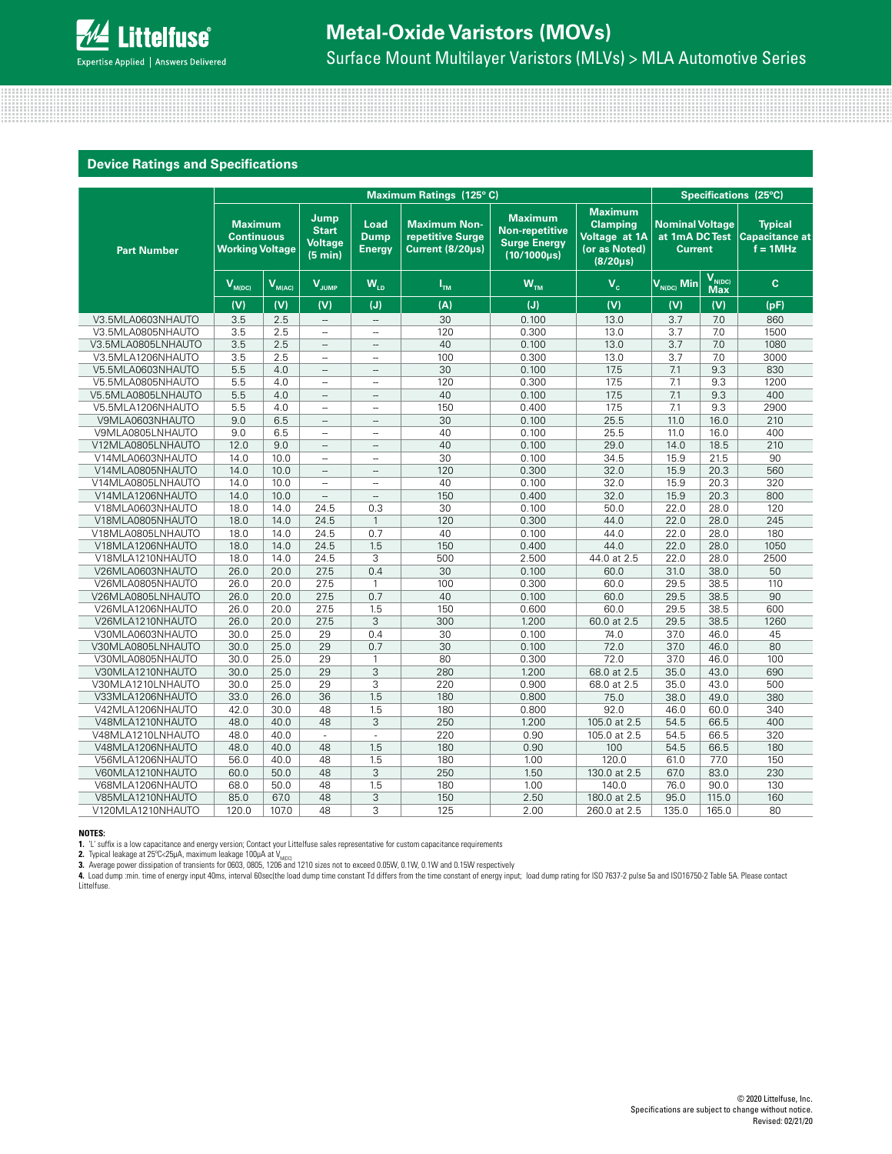

# **Metal-Oxide Varistors (MOVs)**

Surface Mount Multilayer Varistors (MLVs) > MLA Automotive Series

#### **Device Ratings and Specifications**

|                    | Maximum Ratings (125°C)                                       |                    |                                                                                           |                          |                                                             | Specifications (25°C)                                                              |                                                                                              |                                                            |                                  |                                                       |
|--------------------|---------------------------------------------------------------|--------------------|-------------------------------------------------------------------------------------------|--------------------------|-------------------------------------------------------------|------------------------------------------------------------------------------------|----------------------------------------------------------------------------------------------|------------------------------------------------------------|----------------------------------|-------------------------------------------------------|
| <b>Part Number</b> | <b>Maximum</b><br><b>Continuous</b><br><b>Working Voltage</b> |                    | Jump<br>Load<br><b>Start</b><br><b>Dump</b><br><b>Voltage</b><br><b>Energy</b><br>(5 min) |                          | <b>Maximum Non-</b><br>repetitive Surge<br>Current (8/20µs) | <b>Maximum</b><br><b>Non-repetitive</b><br><b>Surge Energy</b><br>$(10/1000\mu s)$ | <b>Maximum</b><br><b>Clamping</b><br>Voltage at 1A<br>(or as Noted)<br>(8/20 <sub>µ</sub> s) | <b>Nominal Voltage</b><br>at 1mA DC Test<br><b>Current</b> |                                  | <b>Typical</b><br><b>Capacitance at</b><br>$f = 1MHz$ |
|                    | $V_{M(DC)}$                                                   | V <sub>M(AC)</sub> | $V_{\text{JUMP}}$                                                                         | $W_{LD}$                 | $I_{TM}$                                                    | $W_{TM}$                                                                           | $V_c$                                                                                        | $\sqrt{\mathsf{V}_{\mathsf{N}(\mathsf{DC})}}$ Min          | V <sub>N(DC)</sub><br><b>Max</b> | $\mathbf{c}$                                          |
|                    | (V)                                                           | (V)                | (V)                                                                                       | (J)                      | (A)                                                         | (J)                                                                                | (V)                                                                                          | (V)                                                        | (V)                              | (pF)                                                  |
| V3.5MLA0603NHAUTO  | 3.5                                                           | 2.5                | $\overline{\phantom{a}}$                                                                  | $\overline{\phantom{a}}$ | 30                                                          | 0.100                                                                              | 13.0                                                                                         | 3.7                                                        | 7.0                              | 860                                                   |
| V3.5MLA0805NHAUTO  | 3.5                                                           | 2.5                | $\overline{\phantom{a}}$                                                                  | u.                       | 120                                                         | 0.300                                                                              | 13.0                                                                                         | 3.7                                                        | 7.0                              | 1500                                                  |
| V3.5MLA0805LNHAUTO | 3.5                                                           | 2.5                | $\overline{\phantom{m}}$                                                                  | $\sim$                   | 40                                                          | 0.100                                                                              | 13.0                                                                                         | 3.7                                                        | 7.0                              | 1080                                                  |
| V3.5MLA1206NHAUTO  | 3.5                                                           | 2.5                | ä,                                                                                        | $\sim$                   | 100                                                         | 0.300                                                                              | 13.0                                                                                         | 3.7                                                        | 7.0                              | 3000                                                  |
| V5.5MLA0603NHAUTO  | 5.5                                                           | 4.0                | $\hspace{0.05cm} -\hspace{0.05cm}$                                                        | $\overline{\phantom{a}}$ | 30                                                          | 0.100                                                                              | 17.5                                                                                         | 7.1                                                        | 9.3                              | 830                                                   |
| V5.5MLA0805NHAUTO  | 5.5                                                           | 4.0                | ä,                                                                                        | $\sim$                   | 120                                                         | 0.300                                                                              | 17.5                                                                                         | 7.1                                                        | 9.3                              | 1200                                                  |
| V5.5MLA0805LNHAUTO | 5.5                                                           | 4.0                | $\sim$                                                                                    | $\sim$                   | 40                                                          | 0.100                                                                              | 17.5                                                                                         | 7.1                                                        | 9.3                              | 400                                                   |
| V5.5MLA1206NHAUTO  | 5.5                                                           | 4.0                | $\bar{a}$                                                                                 | $\sim$                   | 150                                                         | 0.400                                                                              | 17.5                                                                                         | 7.1                                                        | 9.3                              | 2900                                                  |
| V9MLA0603NHAUTO    | 9.0                                                           | 6.5                | $\bar{a}$                                                                                 | $\sim$                   | 30                                                          | 0.100                                                                              | 25.5                                                                                         | 11.0                                                       | 16.0                             | 210                                                   |
| V9MLA0805LNHAUTO   | 9.0                                                           | 6.5                | ÷.                                                                                        | $\sim$                   | 40                                                          | 0.100                                                                              | 25.5                                                                                         | 11.0                                                       | 16.0                             | 400                                                   |
| V12MLA0805LNHAUTO  | 12.0                                                          | 9.0                | Ξ.                                                                                        |                          | 40                                                          | 0.100                                                                              | 29.0                                                                                         | 14.0                                                       | 18.5                             | 210                                                   |
| V14MLA0603NHAUTO   | 14.0                                                          | 10.0               | ÷.                                                                                        | ä,                       | 30                                                          | 0.100                                                                              | 34.5                                                                                         | 15.9                                                       | 21.5                             | 90                                                    |
| V14MLA0805NHAUTO   | 14.0                                                          | 10.0               | $\sim$                                                                                    | $\sim$                   | 120                                                         | 0.300                                                                              | 32.0                                                                                         | 15.9                                                       | 20.3                             | 560                                                   |
| V14MLA0805LNHAUTO  | 14.0                                                          | 10.0               | $\bar{a}$                                                                                 | $\sim$                   | 40                                                          | 0.100                                                                              | 32.0                                                                                         | 15.9                                                       | 20.3                             | 320                                                   |
| V14MLA1206NHAUTO   | 14.0                                                          | 10.0               | $\hspace{0.05cm} \ldots$                                                                  | ÷                        | 150                                                         | 0.400                                                                              | 32.0                                                                                         | 15.9                                                       | 20.3                             | 800                                                   |
| V18MLA0603NHAUTO   | 18.0                                                          | 14.0               | 24.5                                                                                      | 0.3                      | 30                                                          | 0.100                                                                              | 50.0                                                                                         | 22.0                                                       | 28.0                             | 120                                                   |
| V18MLA0805NHAUTO   | 18.0                                                          | 14.0               | 24.5                                                                                      | $\mathbf{1}$             | 120                                                         | 0.300                                                                              | 44.0                                                                                         | 22.0                                                       | 28.0                             | 245                                                   |
| V18MLA0805LNHAUTO  | 18.0                                                          | 14.0               | 24.5                                                                                      | 0.7                      | 40                                                          | 0.100                                                                              | 44.0                                                                                         | 22.0                                                       | 28.0                             | 180                                                   |
| V18MLA1206NHAUTO   | 18.0                                                          | 14.0               | 24.5                                                                                      | 1.5                      | 150                                                         | 0.400                                                                              | 44.0                                                                                         | 22.0                                                       | 28.0                             | 1050                                                  |
| V18MLA1210NHAUTO   | 18.0                                                          | 14.0               | 24.5                                                                                      | 3                        | 500                                                         | 2.500                                                                              | 44.0 at 2.5                                                                                  | 22.0                                                       | 28.0                             | 2500                                                  |
| V26MLA0603NHAUTO   | 26.0                                                          | 20.0               | 27.5                                                                                      | 0.4                      | 30                                                          | 0.100                                                                              | 60.0                                                                                         | 31.0                                                       | 38.0                             | 50                                                    |
| V26MLA0805NHAUTO   | 26.0                                                          | 20.0               | 27.5                                                                                      | $\mathbf{1}$             | 100                                                         | 0.300                                                                              | 60.0                                                                                         | 29.5                                                       | 38.5                             | 110                                                   |
| V26MLA0805LNHAUTO  | 26.0                                                          | 20.0               | 27.5                                                                                      | 0.7                      | 40                                                          | 0.100                                                                              | 60.0                                                                                         | 29.5                                                       | 38.5                             | 90                                                    |
| V26MLA1206NHAUTO   | 26.0                                                          | 20.0               | 27.5                                                                                      | 1.5                      | 150                                                         | 0.600                                                                              | 60.0                                                                                         | 29.5                                                       | 38.5                             | 600                                                   |
| V26MLA1210NHAUTO   | 26.0                                                          | 20.0               | 27.5                                                                                      | $\overline{3}$           | 300                                                         | 1.200                                                                              | 60.0 at 2.5                                                                                  | 29.5                                                       | 38.5                             | 1260                                                  |
| V30MLA0603NHAUTO   | 30.0                                                          | 25.0               | 29                                                                                        | 0.4                      | 30                                                          | 0.100                                                                              | 74.0                                                                                         | 37.0                                                       | 46.0                             | 45                                                    |
| V30MLA0805LNHAUTO  | 30.0                                                          | 25.0               | 29                                                                                        | 0.7                      | 30                                                          | 0.100                                                                              | 72.0                                                                                         | 37.0                                                       | 46.0                             | 80                                                    |
| V30MLA0805NHAUTO   | 30.0                                                          | 25.0               | 29                                                                                        | $\mathbf{1}$             | 80                                                          | 0.300                                                                              | 72.0                                                                                         | 37.0                                                       | 46.0                             | 100                                                   |
| V30MLA1210NHAUTO   | 30.0                                                          | 25.0               | 29                                                                                        | 3                        | 280                                                         | 1.200                                                                              | 68.0 at 2.5                                                                                  | 35.0                                                       | 43.0                             | 690                                                   |
| V30MLA1210LNHAUTO  | 30.0                                                          | 25.0               | 29                                                                                        | 3                        | 220                                                         | 0.900                                                                              | 68.0 at 2.5                                                                                  | 35.0                                                       | 43.0                             | 500                                                   |
| V33MLA1206NHAUTO   | 33.0                                                          | 26.0               | 36                                                                                        | 1.5                      | 180                                                         | 0.800                                                                              | 75.0                                                                                         | 38.0                                                       | 49.0                             | 380                                                   |
| V42MLA1206NHAUTO   | 42.0                                                          | 30.0               | 48                                                                                        | 1.5                      | 180                                                         | 0.800                                                                              | 92.0                                                                                         | 46.0                                                       | 60.0                             | 340                                                   |
| V48MLA1210NHAUTO   | 48.0                                                          | 40.0               | 48                                                                                        | 3                        | 250                                                         | 1.200                                                                              | 105.0 at 2.5                                                                                 | 54.5                                                       | 66.5                             | 400                                                   |
| V48MLA1210LNHAUTO  | 48.0                                                          | 40.0               | ä,                                                                                        | $\sim$                   | 220                                                         | 0.90                                                                               | 105.0 at 2.5                                                                                 | 54.5                                                       | 66.5                             | 320                                                   |
| V48MLA1206NHAUTO   | 48.0                                                          | 40.0               | 48                                                                                        | 1.5                      | 180                                                         | 0.90                                                                               | 100                                                                                          | 54.5                                                       | 66.5                             | 180                                                   |
| V56MLA1206NHAUTO   | 56.0                                                          | 40.0               | 48                                                                                        | 1.5                      | 180                                                         | 1.00                                                                               | 120.0                                                                                        | 61.0                                                       | 77.0                             | 150                                                   |
| V60MLA1210NHAUTO   | 60.0                                                          | 50.0               | 48                                                                                        | 3                        | 250                                                         | 1.50                                                                               | 130.0 at 2.5                                                                                 | 67.0                                                       | 83.0                             | 230                                                   |
| V68MLA1206NHAUTO   | 68.0                                                          | 50.0               | 48                                                                                        | 1.5                      | 180                                                         | 1.00                                                                               | 140.0                                                                                        | 76.0                                                       | 90.0                             | 130                                                   |
| V85MLA1210NHAUTO   | 85.0                                                          | 67.0               | 48                                                                                        | 3                        | 150                                                         | 2.50                                                                               | 180.0 at 2.5                                                                                 | 95.0                                                       | 115.0                            | 160                                                   |
| V120MLA1210NHAUTO  | 120.0                                                         | 107.0              | 48                                                                                        | 3                        | 125                                                         | 2.00                                                                               | 260.0 at 2.5                                                                                 | 135.0                                                      | 165.0                            | 80                                                    |

**NOTES:**<br>1. "L'suffix is a low capacitance and energy version; Contact your Littelfuse sales representative for custom capacitance requirements<br>2. "Lypical leakage at 25°C<25µA, maximum leakage 100µA at V<sub>MICI)</sub><br>3. Averag

4. Load dump :min. time of energy input 40ms, interval 60sec(the load dump time constant Td differs from the time constant of energy input; load dump rating for ISO 7637-2 pulse 5a and ISO 16750-2 Table 5A. Please contact Littelfuse.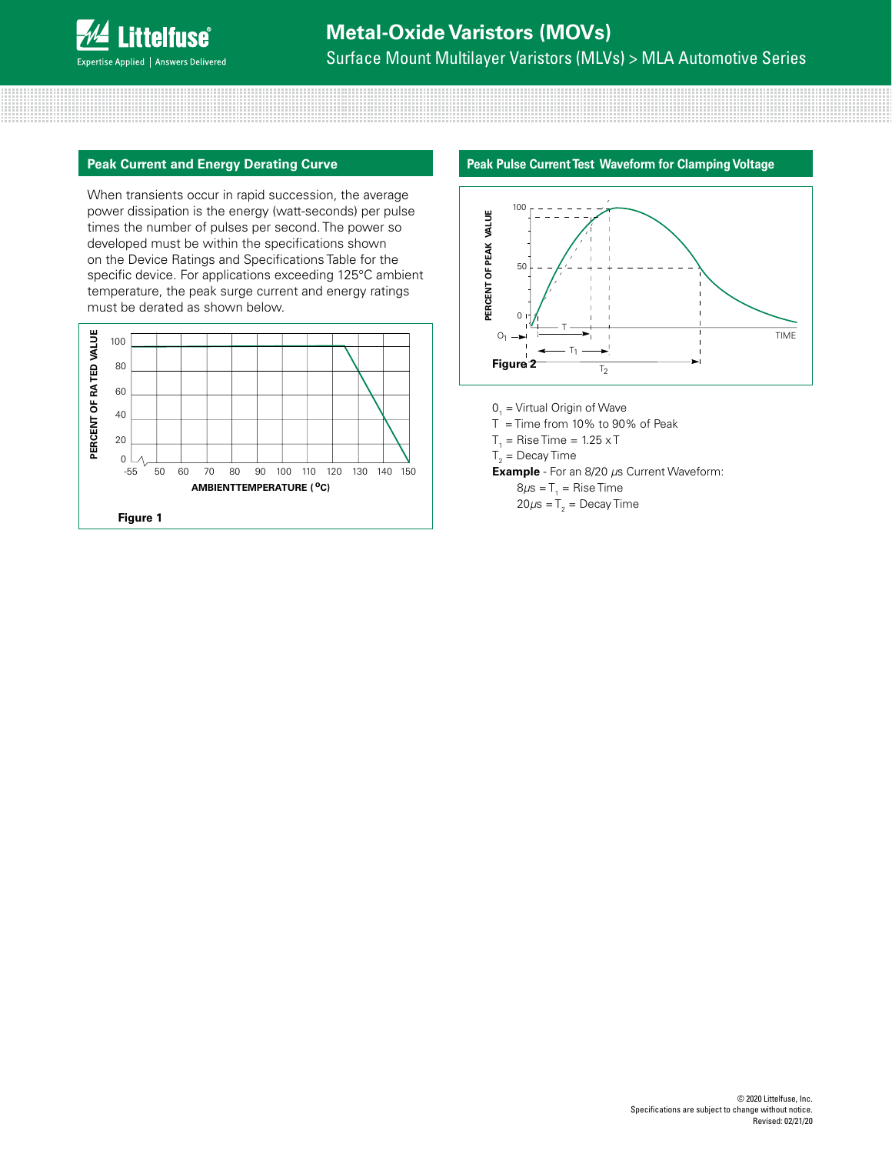#### **Peak Current and Energy Derating Curve**

When transients occur in rapid succession, the average power dissipation is the energy (watt-seconds) per pulse times the number of pulses per second. The power so developed must be within the specifications shown on the Device Ratings and Specifications Table for the specific device. For applications exceeding 125°C ambient temperature, the peak surge current and energy ratings must be derated as shown below.



#### **Peak Pulse Current Test Waveform for Clamping Voltage**



 $0<sub>1</sub>$  = Virtual Origin of Wave

- $T =$  Time from 10% to 90% of Peak
- $F = P(\infty)$  Time  $= 1.25 \times T$  $T_1$  = Rise Time = 1.25 x T

 $T_{2}$  = Decay Time

**Example** - For an 8/20 µs Current Waveform:

- 8 $\mu$ s = T<sub>1</sub> = Rise Time
- $20\mu s = T<sub>2</sub> = \text{Decay Time}$  $\frac{2}{\sqrt{2}}$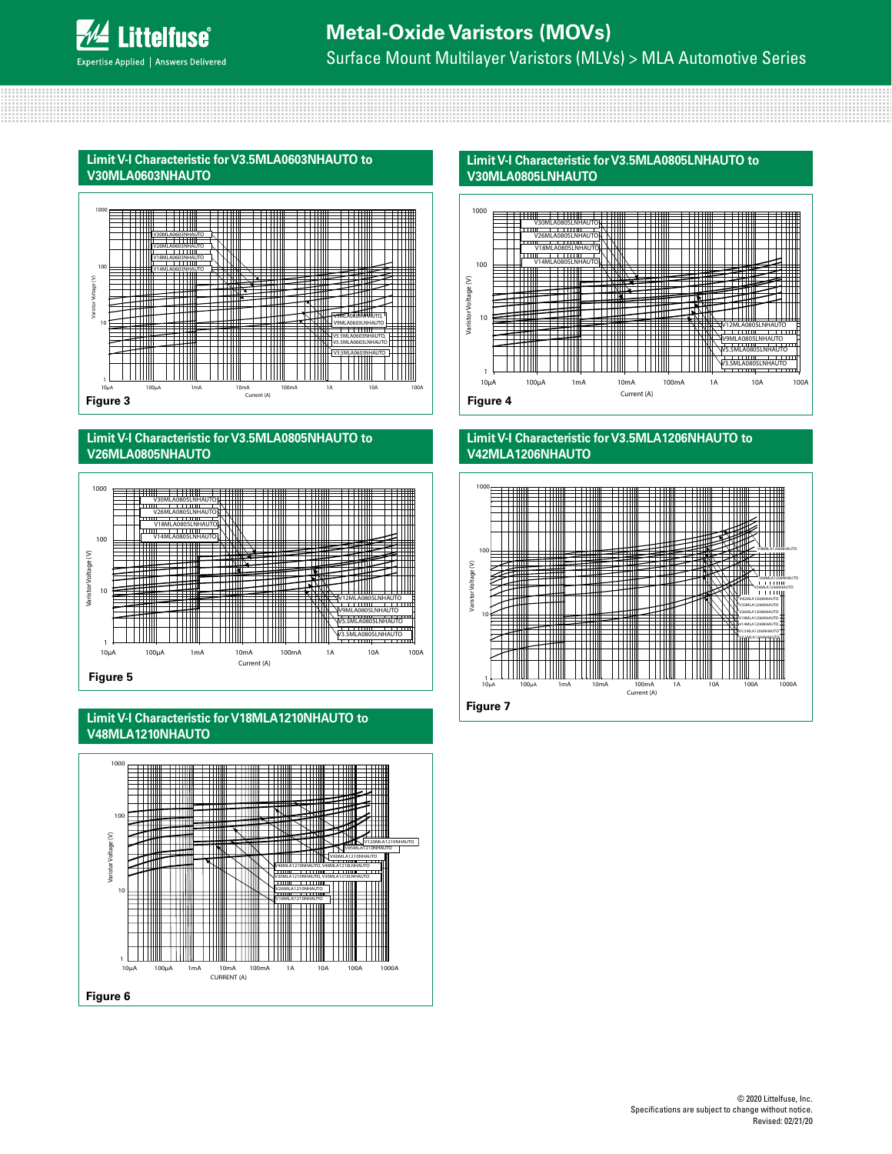**Limit V-I Characteristic for V3.5MLA0603NHAUTO to V30MLA0603NHAUTO**



#### **FIGURE X. LIMIT V-I CHARACTERISTIC FOR V3.5MLA0603NHAUTO TO V30MLA0603NHAUTO Limit V-I Characteristic for V3.5MLA0805NHAUTO to V26MLA0805NHAUTO**



### **FIGURE X. LIMIT V-I CHARACTERISTIC FOR V3.5MLA0805LNHAUTO TO V30MLA0805LNHAUTO Limit V-I Characteristic for V18MLA1210NHAUTO to V48MLA1210NHAUTO**



**Limit V-I Characteristic for V3.5MLA0805LNHAUTO to V30MLA0805LNHAUTO**



#### **FIGURE X. LIMIT V-I CHARACTERISTIC FOR V3.5MLA0805LNHAUTO TO V30MLA0805LNHAUTO Limit V-I Characteristic for V3.5MLA1206NHAUTO to V42MLA1206NHAUTO**

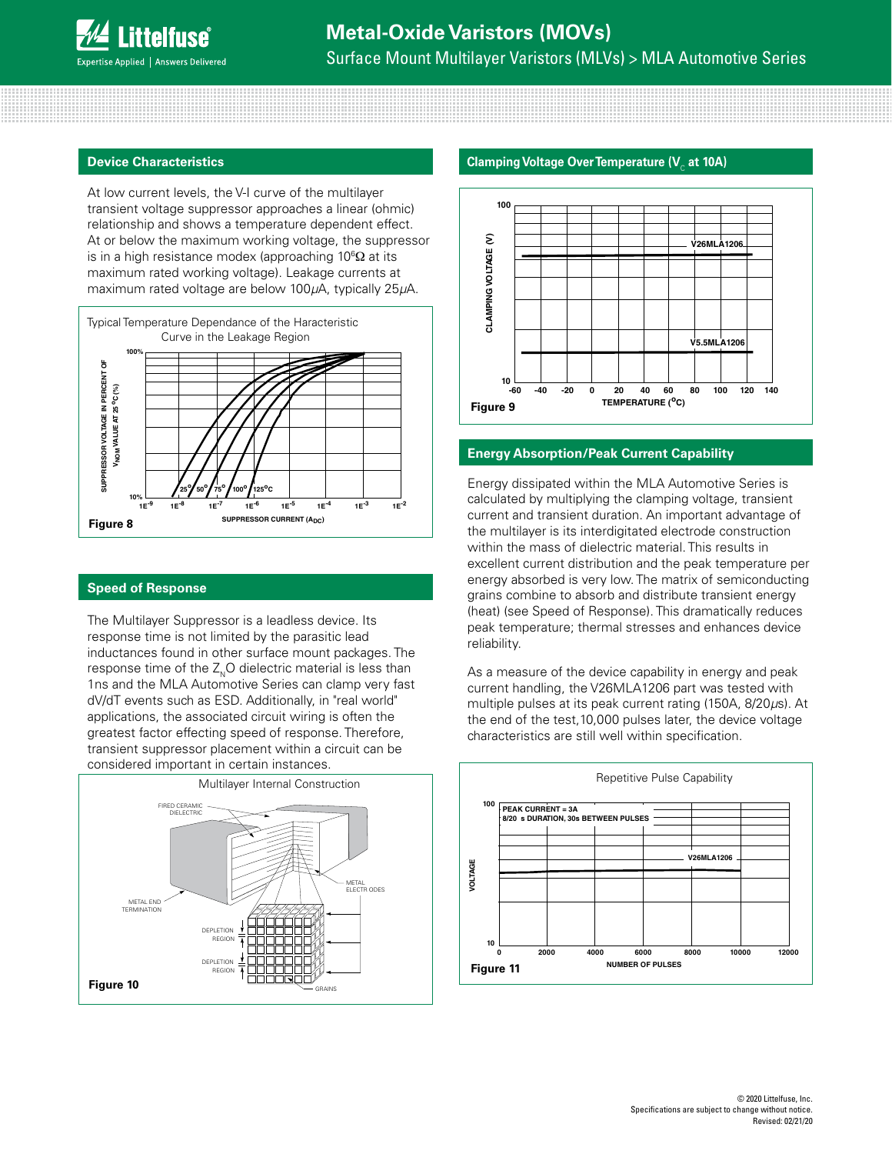#### **Device Characteristics**

At low current levels, the V-I curve of the multilayer transient voltage suppressor approaches a linear (ohmic) relationship and shows a temperature dependent effect. At or below the maximum working voltage, the suppressor is in a high resistance modex (approaching 10 $\Omega$  at its maximum rated working voltage). Leakage currents at maximum rated voltage are below 100*µ*A, typically 25*µ*A.



#### **Speed of Response**

The Multilayer Suppressor is a leadless device. Its response time is not limited by the parasitic lead inductances found in other surface mount packages. The response time of the  $Z_{N}O$  dielectric material is less than 1ns and the MLA Automotive Series can clamp very fast dV/dT events such as ESD. Additionally, in "real world" applications, the associated circuit wiring is often the greatest factor effecting speed of response. Therefore, transient suppressor placement within a circuit can be considered important in certain instances.



#### **Clamping Voltage Over Temperature (V<sub>c</sub> at 10A)**



#### **Energy Absorption/Peak Current Capability**

Energy dissipated within the MLA Automotive Series is calculated by multiplying the clamping voltage, transient current and transient duration. An important advantage of the multilayer is its interdigitated electrode construction within the mass of dielectric material. This results in excellent current distribution and the peak temperature per energy absorbed is very low. The matrix of semiconducting grains combine to absorb and distribute transient energy (heat) (see Speed of Response). This dramatically reduces peak temperature; thermal stresses and enhances device reliability.

As a measure of the device capability in energy and peak current handling, the V26MLA1206 part was tested with multiple pulses at its peak current rating (150A, 8/20*µ*s). At the end of the test,10,000 pulses later, the device voltage characteristics are still well within specification.

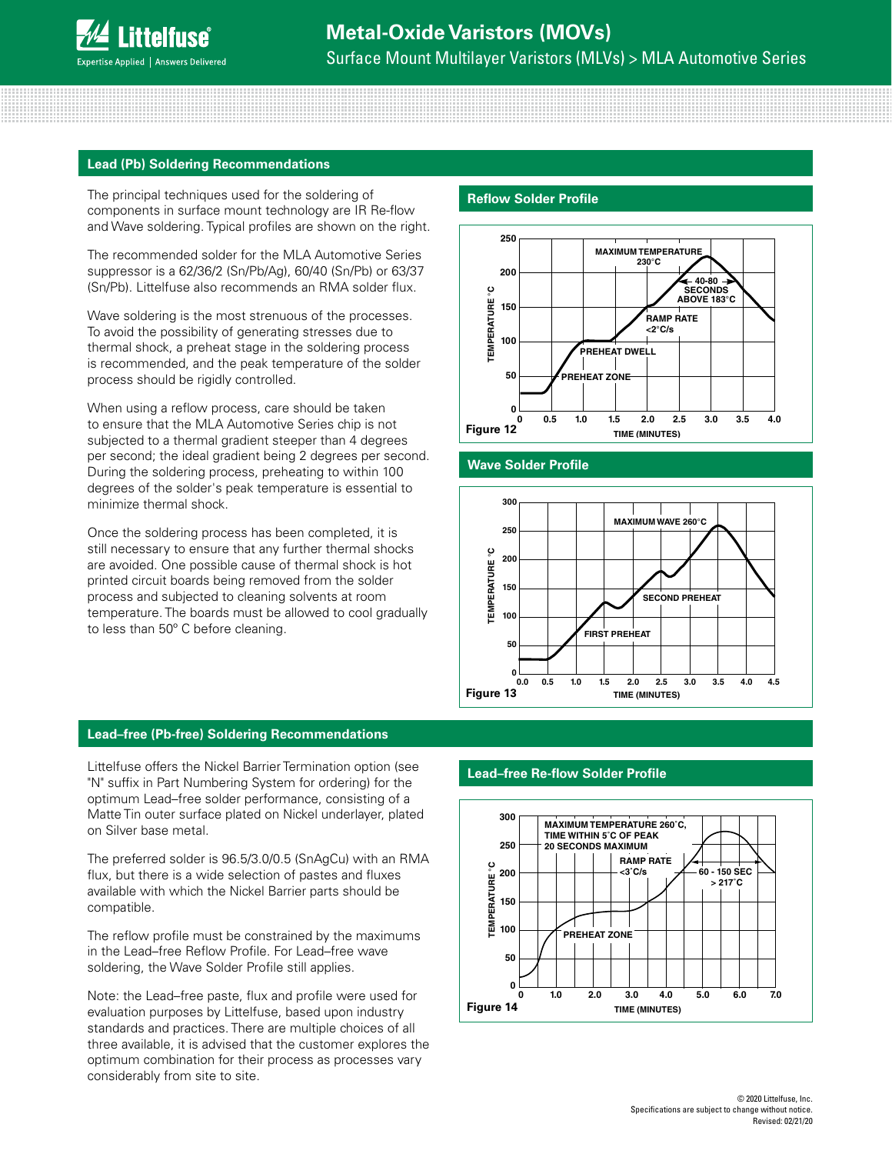#### **Lead (Pb) Soldering Recommendations**

The principal techniques used for the soldering of components in surface mount technology are IR Re-flow and Wave soldering. Typical profiles are shown on the right.

The recommended solder for the MLA Automotive Series suppressor is a 62/36/2 (Sn/Pb/Ag), 60/40 (Sn/Pb) or 63/37 (Sn/Pb). Littelfuse also recommends an RMA solder flux.

Wave soldering is the most strenuous of the processes. To avoid the possibility of generating stresses due to thermal shock, a preheat stage in the soldering process is recommended, and the peak temperature of the solder process should be rigidly controlled.

When using a reflow process, care should be taken to ensure that the MLA Automotive Series chip is not subjected to a thermal gradient steeper than 4 degrees per second; the ideal gradient being 2 degrees per second. During the soldering process, preheating to within 100 degrees of the solder's peak temperature is essential to minimize thermal shock.

Once the soldering process has been completed, it is still necessary to ensure that any further thermal shocks are avoided. One possible cause of thermal shock is hot printed circuit boards being removed from the solder process and subjected to cleaning solvents at room temperature. The boards must be allowed to cool gradually to less than 50º C before cleaning.

#### **Lead–free (Pb-free) Soldering Recommendations**

Littelfuse offers the Nickel Barrier Termination option (see "N" suffix in Part Numbering System for ordering) for the optimum Lead–free solder performance, consisting of a Matte Tin outer surface plated on Nickel underlayer, plated on Silver base metal.

The preferred solder is 96.5/3.0/0.5 (SnAgCu) with an RMA flux, but there is a wide selection of pastes and fluxes available with which the Nickel Barrier parts should be compatible.

The reflow profile must be constrained by the maximums in the Lead–free Reflow Profile. For Lead–free wave soldering, the Wave Solder Profile still applies.

Note: the Lead–free paste, flux and profile were used for evaluation purposes by Littelfuse, based upon industry standards and practices. There are multiple choices of all three available, it is advised that the customer explores the optimum combination for their process as processes vary considerably from site to site.

#### **Reflow Solder Profile**



## **FIGURE 14. REFLOW SOLDER PROFILE Wave Solder Profile**



#### **Lead–free Re-flow Solder Profile**

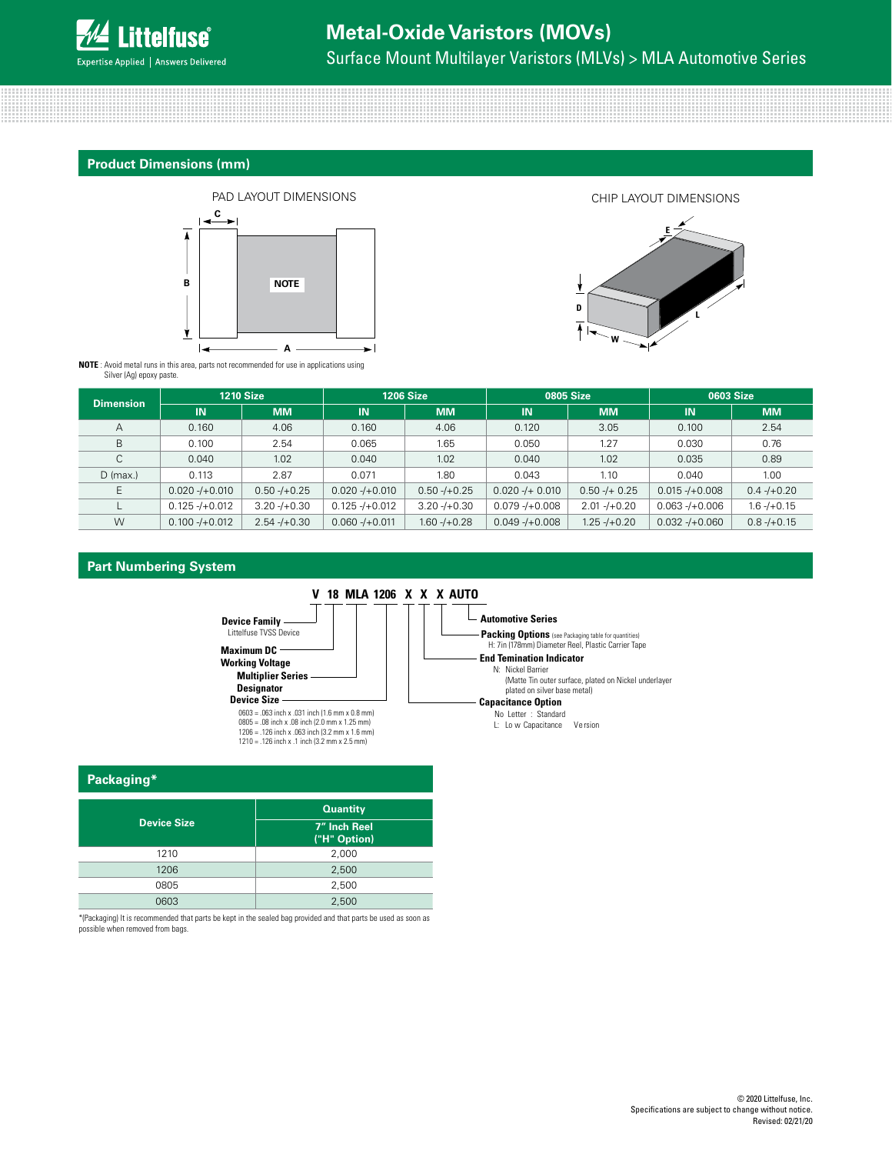

CHIP LAYOUT DIMENSIONS

**E**

**W**

**D**

**L**

#### **Product Dimensions (mm)**



**NOTE** : Avoid metal runs in this area, parts not recommended for use in applications using Silver (Ag) epoxy paste.

| <b>Dimension</b> | <b>1210 Size</b>   |                   | <b>1206 Size</b> |                   | <b>0805 Size</b>  |                   | 0603 Size           |                   |
|------------------|--------------------|-------------------|------------------|-------------------|-------------------|-------------------|---------------------|-------------------|
|                  | <b>IN</b>          | <b>MM</b>         | IN               | <b>MM</b>         | <b>IN</b>         | <b>MM</b>         | <b>IN</b>           | <b>MM</b>         |
| A                | 0.160              | 4.06              | 0.160            | 4.06              | 0.120             | 3.05              | 0.100               | 2.54              |
| B                | 0.100              | 2.54              | 0.065            | 1.65              | 0.050             | 1.27              | 0.030               | 0.76              |
| C                | 0.040              | 1.02              | 0.040            | 1.02              | 0.040             | 1.02              | 0.035               | 0.89              |
| $D$ (max.)       | 0.113              | 2.87              | 0.071            | 1.80              | 0.043             | 1.10              | 0.040               | 1.00 <sub>1</sub> |
| E                | $0.020 - +0.010$   | $0.50 - +0.25$    | $0.020 - +0.010$ | $0.50 - +0.25$    | $0.020 - + 0.010$ | $0.50 - + 0.25$   | $0.015 - 40.008$    | $0.4 - 1 + 0.20$  |
|                  | $0.125 - +0.012$   | $3.20 - +0.30$    | $0.125 - +0.012$ | $3.20 - (+0.30)$  | $0.079 - +0.008$  | $2.01 - 1 + 0.20$ | $0.063 - 1 + 0.006$ | $1.6 - +0.15$     |
| W                | $0.100 - (+0.012)$ | $2.54 - 1 + 0.30$ | $0.060 - +0.011$ | $1.60 - 1 + 0.28$ | $0.049 - 40.008$  | $1.25 - 1 + 0.20$ | $0.032 - 40.060$    | $0.8 - 1 + 0.15$  |

#### **Part Numbering System**



| Packaging*         |                              |  |  |  |  |  |
|--------------------|------------------------------|--|--|--|--|--|
|                    | <b>Quantity</b>              |  |  |  |  |  |
| <b>Device Size</b> | 7" Inch Reel<br>("H" Option) |  |  |  |  |  |
| 1210               | 2,000                        |  |  |  |  |  |
| 1206               | 2,500                        |  |  |  |  |  |
| 0805               | 2,500                        |  |  |  |  |  |
| 0603               | 2,500                        |  |  |  |  |  |

\*(Packaging) It is recommended that parts be kept in the sealed bag provided and that parts be used as soon as possible when removed from bags.